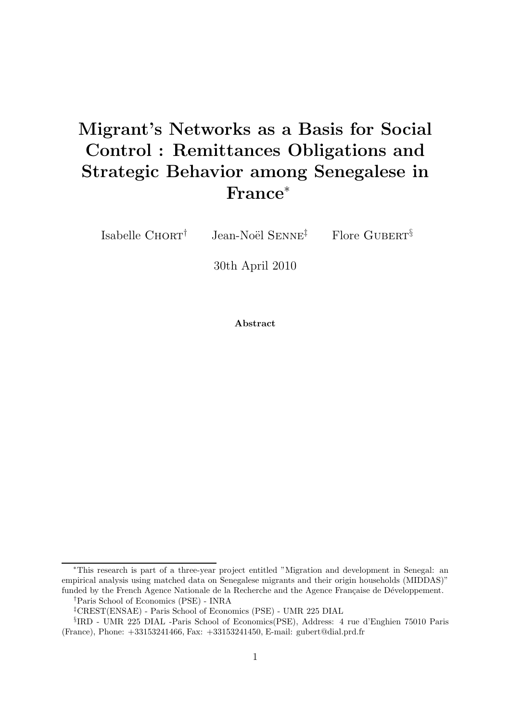# Migrant's Networks as a Basis for Social Control : Remittances Obligations and Strategic Behavior among Senegalese in France<sup>∗</sup>

Isabelle Chort $\dagger$  Jean-Noël Senne $\ddagger$  Flore Gubert<sup>§</sup>

30th April 2010

Abstract

<sup>∗</sup>This research is part of a three-year project entitled "Migration and development in Senegal: an empirical analysis using matched data on Senegalese migrants and their origin households (MIDDAS)" funded by the French Agence Nationale de la Recherche and the Agence Française de Développement.

<sup>†</sup>Paris School of Economics (PSE) - INRA

<sup>‡</sup>CREST(ENSAE) - Paris School of Economics (PSE) - UMR 225 DIAL

<sup>§</sup> IRD - UMR 225 DIAL -Paris School of Economics(PSE), Address: 4 rue d'Enghien 75010 Paris (France), Phone: +33153241466, Fax: +33153241450, E-mail: gubert@dial.prd.fr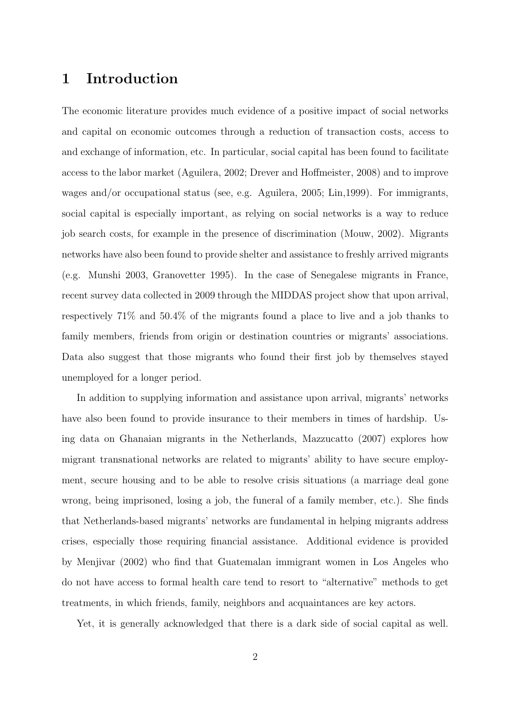# 1 Introduction

The economic literature provides much evidence of a positive impact of social networks and capital on economic outcomes through a reduction of transaction costs, access to and exchange of information, etc. In particular, social capital has been found to facilitate access to the labor market (Aguilera, 2002; Drever and Hoffmeister, 2008) and to improve wages and/or occupational status (see, e.g. Aguilera, 2005; Lin,1999). For immigrants, social capital is especially important, as relying on social networks is a way to reduce job search costs, for example in the presence of discrimination (Mouw, 2002). Migrants networks have also been found to provide shelter and assistance to freshly arrived migrants (e.g. Munshi 2003, Granovetter 1995). In the case of Senegalese migrants in France, recent survey data collected in 2009 through the MIDDAS project show that upon arrival, respectively 71% and 50.4% of the migrants found a place to live and a job thanks to family members, friends from origin or destination countries or migrants' associations. Data also suggest that those migrants who found their first job by themselves stayed unemployed for a longer period.

In addition to supplying information and assistance upon arrival, migrants' networks have also been found to provide insurance to their members in times of hardship. Using data on Ghanaian migrants in the Netherlands, Mazzucatto (2007) explores how migrant transnational networks are related to migrants' ability to have secure employment, secure housing and to be able to resolve crisis situations (a marriage deal gone wrong, being imprisoned, losing a job, the funeral of a family member, etc.). She finds that Netherlands-based migrants' networks are fundamental in helping migrants address crises, especially those requiring financial assistance. Additional evidence is provided by Menjivar (2002) who find that Guatemalan immigrant women in Los Angeles who do not have access to formal health care tend to resort to "alternative" methods to get treatments, in which friends, family, neighbors and acquaintances are key actors.

Yet, it is generally acknowledged that there is a dark side of social capital as well.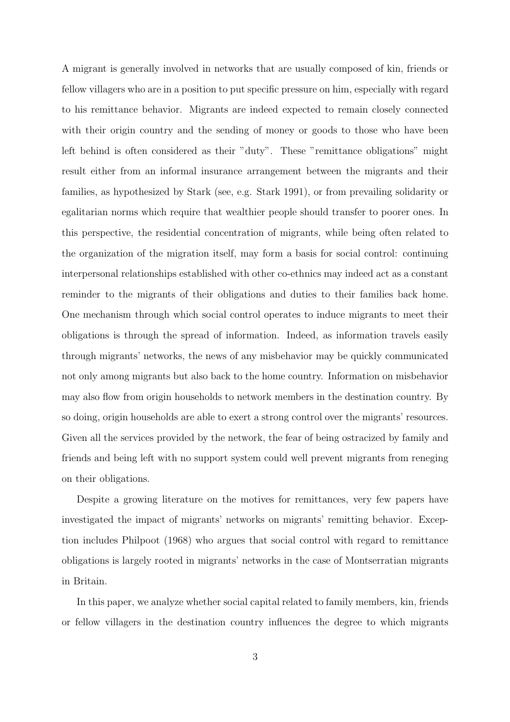A migrant is generally involved in networks that are usually composed of kin, friends or fellow villagers who are in a position to put specific pressure on him, especially with regard to his remittance behavior. Migrants are indeed expected to remain closely connected with their origin country and the sending of money or goods to those who have been left behind is often considered as their "duty". These "remittance obligations" might result either from an informal insurance arrangement between the migrants and their families, as hypothesized by Stark (see, e.g. Stark 1991), or from prevailing solidarity or egalitarian norms which require that wealthier people should transfer to poorer ones. In this perspective, the residential concentration of migrants, while being often related to the organization of the migration itself, may form a basis for social control: continuing interpersonal relationships established with other co-ethnics may indeed act as a constant reminder to the migrants of their obligations and duties to their families back home. One mechanism through which social control operates to induce migrants to meet their obligations is through the spread of information. Indeed, as information travels easily through migrants' networks, the news of any misbehavior may be quickly communicated not only among migrants but also back to the home country. Information on misbehavior may also flow from origin households to network members in the destination country. By so doing, origin households are able to exert a strong control over the migrants' resources. Given all the services provided by the network, the fear of being ostracized by family and friends and being left with no support system could well prevent migrants from reneging on their obligations.

Despite a growing literature on the motives for remittances, very few papers have investigated the impact of migrants' networks on migrants' remitting behavior. Exception includes Philpoot (1968) who argues that social control with regard to remittance obligations is largely rooted in migrants' networks in the case of Montserratian migrants in Britain.

In this paper, we analyze whether social capital related to family members, kin, friends or fellow villagers in the destination country influences the degree to which migrants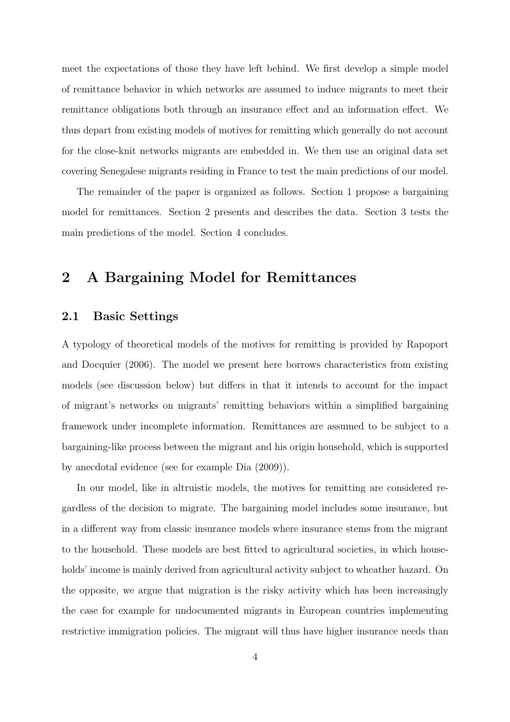meet the expectations of those they have left behind. We first develop a simple model of remittance behavior in which networks are assumed to induce migrants to meet their remittance obligations both through an insurance effect and an information effect. We thus depart from existing models of motives for remitting which generally do not account for the close-knit networks migrants are embedded in. We then use an original data set covering Senegalese migrants residing in France to test the main predictions of our model.

The remainder of the paper is organized as follows. Section 1 propose a bargaining model for remittances. Section 2 presents and describes the data. Section 3 tests the main predictions of the model. Section 4 concludes.

# 2 A Bargaining Model for Remittances

#### 2.1 Basic Settings

A typology of theoretical models of the motives for remitting is provided by Rapoport and Docquier (2006). The model we present here borrows characteristics from existing models (see discussion below) but differs in that it intends to account for the impact of migrant's networks on migrants' remitting behaviors within a simplified bargaining framework under incomplete information. Remittances are assumed to be subject to a bargaining-like process between the migrant and his origin household, which is supported by anecdotal evidence (see for example Dia (2009)).

In our model, like in altruistic models, the motives for remitting are considered regardless of the decision to migrate. The bargaining model includes some insurance, but in a different way from classic insurance models where insurance stems from the migrant to the household. These models are best fitted to agricultural societies, in which households' income is mainly derived from agricultural activity subject to wheather hazard. On the opposite, we argue that migration is the risky activity which has been increasingly the case for example for undocumented migrants in European countries implementing restrictive immigration policies. The migrant will thus have higher insurance needs than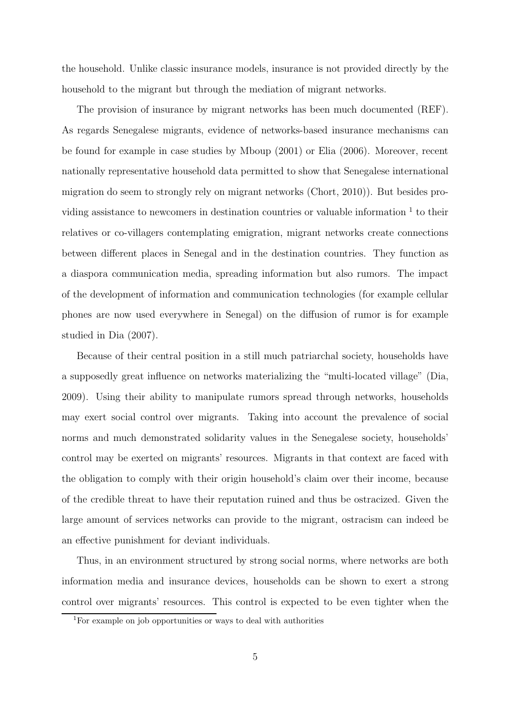the household. Unlike classic insurance models, insurance is not provided directly by the household to the migrant but through the mediation of migrant networks.

The provision of insurance by migrant networks has been much documented (REF). As regards Senegalese migrants, evidence of networks-based insurance mechanisms can be found for example in case studies by Mboup (2001) or Elia (2006). Moreover, recent nationally representative household data permitted to show that Senegalese international migration do seem to strongly rely on migrant networks (Chort, 2010)). But besides providing assistance to new comers in destination countries or valuable information  $1$  to their relatives or co-villagers contemplating emigration, migrant networks create connections between different places in Senegal and in the destination countries. They function as a diaspora communication media, spreading information but also rumors. The impact of the development of information and communication technologies (for example cellular phones are now used everywhere in Senegal) on the diffusion of rumor is for example studied in Dia (2007).

Because of their central position in a still much patriarchal society, households have a supposedly great influence on networks materializing the "multi-located village" (Dia, 2009). Using their ability to manipulate rumors spread through networks, households may exert social control over migrants. Taking into account the prevalence of social norms and much demonstrated solidarity values in the Senegalese society, households' control may be exerted on migrants' resources. Migrants in that context are faced with the obligation to comply with their origin household's claim over their income, because of the credible threat to have their reputation ruined and thus be ostracized. Given the large amount of services networks can provide to the migrant, ostracism can indeed be an effective punishment for deviant individuals.

Thus, in an environment structured by strong social norms, where networks are both information media and insurance devices, households can be shown to exert a strong control over migrants' resources. This control is expected to be even tighter when the

<sup>1</sup>For example on job opportunities or ways to deal with authorities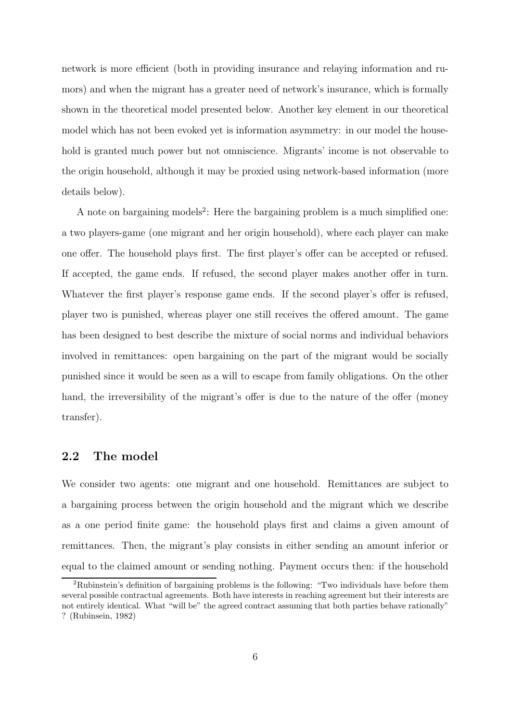network is more efficient (both in providing insurance and relaying information and rumors) and when the migrant has a greater need of network's insurance, which is formally shown in the theoretical model presented below. Another key element in our theoretical model which has not been evoked yet is information asymmetry: in our model the household is granted much power but not omniscience. Migrants' income is not observable to the origin household, although it may be proxied using network-based information (more details below).

A note on bargaining models<sup>2</sup>: Here the bargaining problem is a much simplified one: a two players-game (one migrant and her origin household), where each player can make one offer. The household plays first. The first player's offer can be accepted or refused. If accepted, the game ends. If refused, the second player makes another offer in turn. Whatever the first player's response game ends. If the second player's offer is refused, player two is punished, whereas player one still receives the offered amount. The game has been designed to best describe the mixture of social norms and individual behaviors involved in remittances: open bargaining on the part of the migrant would be socially punished since it would be seen as a will to escape from family obligations. On the other hand, the irreversibility of the migrant's offer is due to the nature of the offer (money transfer).

#### 2.2 The model

We consider two agents: one migrant and one household. Remittances are subject to a bargaining process between the origin household and the migrant which we describe as a one period finite game: the household plays first and claims a given amount of remittances. Then, the migrant's play consists in either sending an amount inferior or equal to the claimed amount or sending nothing. Payment occurs then: if the household

<sup>&</sup>lt;sup>2</sup>Rubinstein's definition of bargaining problems is the following: "Two individuals have before them several possible contractual agreements. Both have interests in reaching agreement but their interests are not entirely identical. What "will be" the agreed contract assuming that both parties behave rationally" ? (Rubinsein, 1982)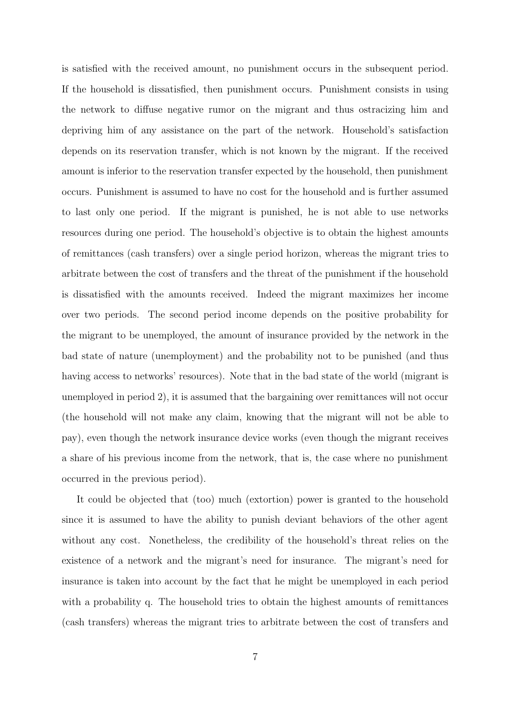is satisfied with the received amount, no punishment occurs in the subsequent period. If the household is dissatisfied, then punishment occurs. Punishment consists in using the network to diffuse negative rumor on the migrant and thus ostracizing him and depriving him of any assistance on the part of the network. Household's satisfaction depends on its reservation transfer, which is not known by the migrant. If the received amount is inferior to the reservation transfer expected by the household, then punishment occurs. Punishment is assumed to have no cost for the household and is further assumed to last only one period. If the migrant is punished, he is not able to use networks resources during one period. The household's objective is to obtain the highest amounts of remittances (cash transfers) over a single period horizon, whereas the migrant tries to arbitrate between the cost of transfers and the threat of the punishment if the household is dissatisfied with the amounts received. Indeed the migrant maximizes her income over two periods. The second period income depends on the positive probability for the migrant to be unemployed, the amount of insurance provided by the network in the bad state of nature (unemployment) and the probability not to be punished (and thus having access to networks' resources). Note that in the bad state of the world (migrant is unemployed in period 2), it is assumed that the bargaining over remittances will not occur (the household will not make any claim, knowing that the migrant will not be able to pay), even though the network insurance device works (even though the migrant receives a share of his previous income from the network, that is, the case where no punishment occurred in the previous period).

It could be objected that (too) much (extortion) power is granted to the household since it is assumed to have the ability to punish deviant behaviors of the other agent without any cost. Nonetheless, the credibility of the household's threat relies on the existence of a network and the migrant's need for insurance. The migrant's need for insurance is taken into account by the fact that he might be unemployed in each period with a probability q. The household tries to obtain the highest amounts of remittances (cash transfers) whereas the migrant tries to arbitrate between the cost of transfers and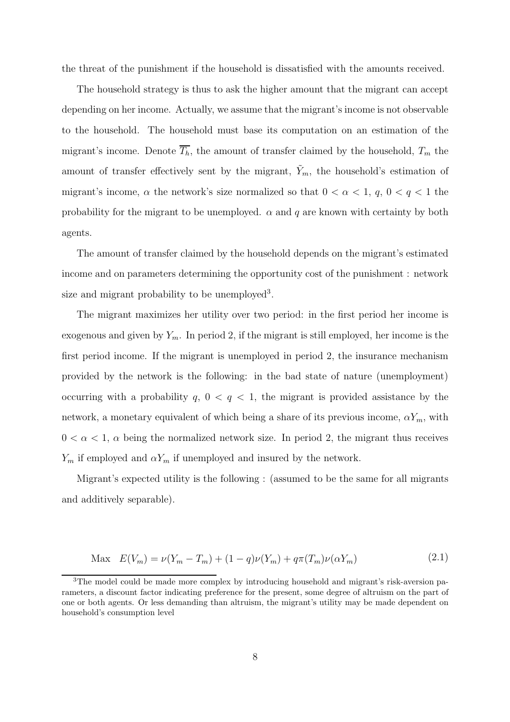the threat of the punishment if the household is dissatisfied with the amounts received.

The household strategy is thus to ask the higher amount that the migrant can accept depending on her income. Actually, we assume that the migrant's income is not observable to the household. The household must base its computation on an estimation of the migrant's income. Denote  $\overline{T_h}$ , the amount of transfer claimed by the household,  $T_m$  the amount of transfer effectively sent by the migrant,  $\tilde{Y}_m$ , the household's estimation of migrant's income,  $\alpha$  the network's size normalized so that  $0 < \alpha < 1$ ,  $q$ ,  $0 < q < 1$  the probability for the migrant to be unemployed.  $\alpha$  and q are known with certainty by both agents.

The amount of transfer claimed by the household depends on the migrant's estimated income and on parameters determining the opportunity cost of the punishment : network size and migrant probability to be unemployed<sup>3</sup>.

The migrant maximizes her utility over two period: in the first period her income is exogenous and given by  $Y_m$ . In period 2, if the migrant is still employed, her income is the first period income. If the migrant is unemployed in period 2, the insurance mechanism provided by the network is the following: in the bad state of nature (unemployment) occurring with a probability  $q$ ,  $0 < q < 1$ , the migrant is provided assistance by the network, a monetary equivalent of which being a share of its previous income,  $\alpha Y_m$ , with  $0 < \alpha < 1$ ,  $\alpha$  being the normalized network size. In period 2, the migrant thus receives  $Y_m$  if employed and  $\alpha Y_m$  if unemployed and insured by the network.

Migrant's expected utility is the following : (assumed to be the same for all migrants and additively separable).

$$
\text{Max } E(V_m) = \nu(Y_m - T_m) + (1 - q)\nu(Y_m) + q\pi(T_m)\nu(\alpha Y_m) \tag{2.1}
$$

<sup>&</sup>lt;sup>3</sup>The model could be made more complex by introducing household and migrant's risk-aversion parameters, a discount factor indicating preference for the present, some degree of altruism on the part of one or both agents. Or less demanding than altruism, the migrant's utility may be made dependent on household's consumption level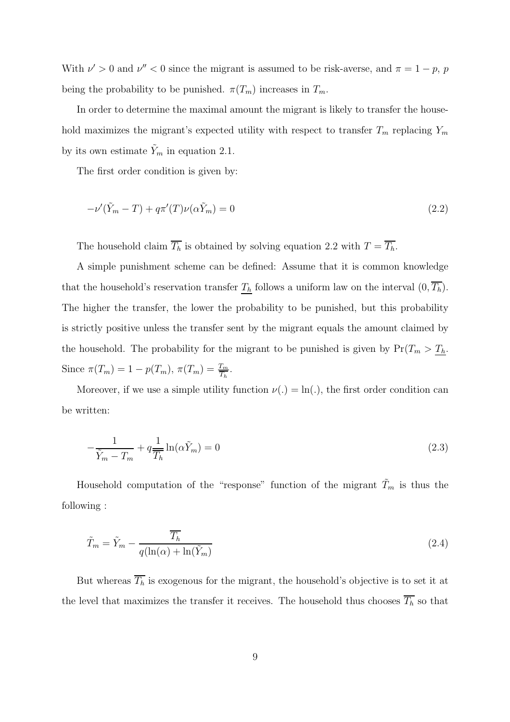With  $\nu' > 0$  and  $\nu'' < 0$  since the migrant is assumed to be risk-averse, and  $\pi = 1 - p$ , p being the probability to be punished.  $\pi(T_m)$  increases in  $T_m$ .

In order to determine the maximal amount the migrant is likely to transfer the household maximizes the migrant's expected utility with respect to transfer  $T_m$  replacing  $Y_m$ by its own estimate  $Y_m$  in equation 2.1.

The first order condition is given by:

$$
-\nu'(\tilde{Y}_m - T) + q\pi'(T)\nu(\alpha\tilde{Y}_m) = 0
$$
\n(2.2)

The household claim  $\overline{T_h}$  is obtained by solving equation 2.2 with  $T = \overline{T_h}$ .

A simple punishment scheme can be defined: Assume that it is common knowledge that the household's reservation transfer  $T_h$  follows a uniform law on the interval  $(0, \overline{T_h})$ . The higher the transfer, the lower the probability to be punished, but this probability is strictly positive unless the transfer sent by the migrant equals the amount claimed by the household. The probability for the migrant to be punished is given by  $Pr(T_m > T_h$ . Since  $\pi(T_m) = 1 - p(T_m)$ ,  $\pi(T_m) = \frac{T_m}{T_h}$ .

Moreover, if we use a simple utility function  $\nu(.) = \ln(.)$ , the first order condition can be written:

$$
-\frac{1}{\tilde{Y}_m - T_m} + q \frac{1}{T_h} \ln(\alpha \tilde{Y}_m) = 0
$$
\n(2.3)

Household computation of the "response" function of the migrant  $\tilde{T}_m$  is thus the following :

$$
\tilde{T}_m = \tilde{Y}_m - \frac{\overline{T_h}}{q(\ln(\alpha) + \ln(\tilde{Y}_m))}
$$
\n(2.4)

But whereas  $\overline{T_h}$  is exogenous for the migrant, the household's objective is to set it at the level that maximizes the transfer it receives. The household thus chooses  $\overline{T_h}$  so that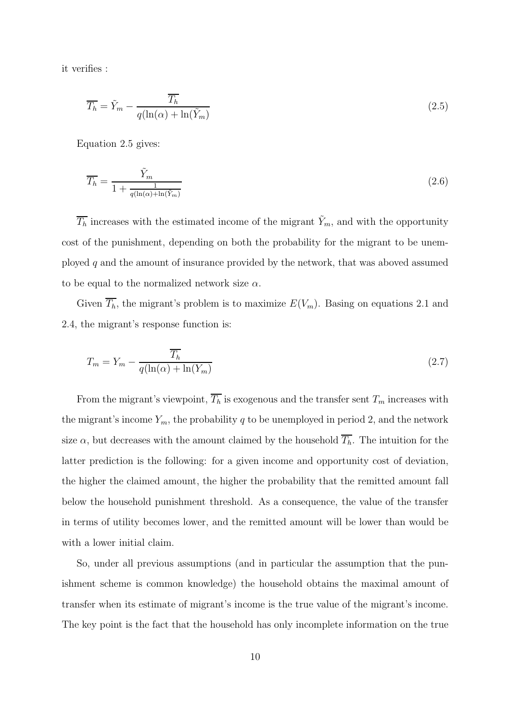it verifies :

$$
\overline{T_h} = \tilde{Y}_m - \frac{\overline{T_h}}{q(\ln(\alpha) + \ln(\tilde{Y}_m))}
$$
\n(2.5)

Equation 2.5 gives:

$$
\overline{T_h} = \frac{\tilde{Y}_m}{1 + \frac{1}{q(\ln(\alpha) + \ln(\tilde{Y}_m))}}
$$
(2.6)

 $\overline{T_h}$  increases with the estimated income of the migrant  $\tilde{Y}_m$ , and with the opportunity cost of the punishment, depending on both the probability for the migrant to be unemployed  $q$  and the amount of insurance provided by the network, that was aboved assumed to be equal to the normalized network size  $\alpha$ .

Given  $\overline{T_h}$ , the migrant's problem is to maximize  $E(V_m)$ . Basing on equations 2.1 and 2.4, the migrant's response function is:

$$
T_m = Y_m - \frac{\overline{T_h}}{q(\ln(\alpha) + \ln(Y_m))}
$$
\n(2.7)

From the migrant's viewpoint,  $\overline{T_h}$  is exogenous and the transfer sent  $T_m$  increases with the migrant's income  $Y_m$ , the probability q to be unemployed in period 2, and the network size  $\alpha$ , but decreases with the amount claimed by the household  $\overline{T_h}$ . The intuition for the latter prediction is the following: for a given income and opportunity cost of deviation, the higher the claimed amount, the higher the probability that the remitted amount fall below the household punishment threshold. As a consequence, the value of the transfer in terms of utility becomes lower, and the remitted amount will be lower than would be with a lower initial claim.

So, under all previous assumptions (and in particular the assumption that the punishment scheme is common knowledge) the household obtains the maximal amount of transfer when its estimate of migrant's income is the true value of the migrant's income. The key point is the fact that the household has only incomplete information on the true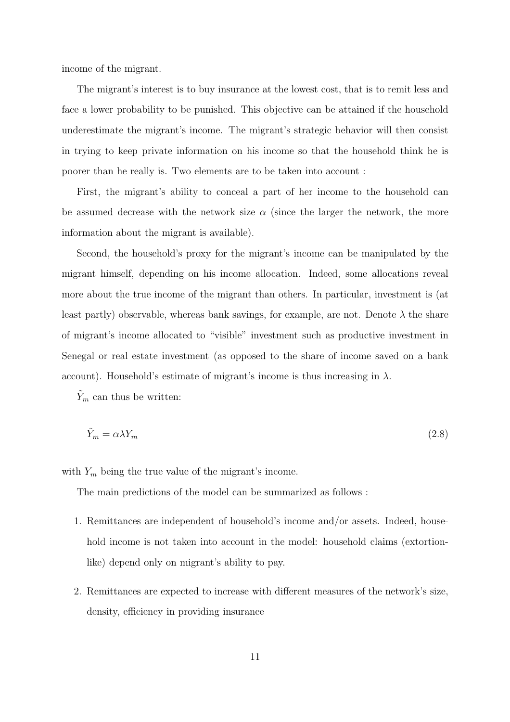income of the migrant.

The migrant's interest is to buy insurance at the lowest cost, that is to remit less and face a lower probability to be punished. This objective can be attained if the household underestimate the migrant's income. The migrant's strategic behavior will then consist in trying to keep private information on his income so that the household think he is poorer than he really is. Two elements are to be taken into account :

First, the migrant's ability to conceal a part of her income to the household can be assumed decrease with the network size  $\alpha$  (since the larger the network, the more information about the migrant is available).

Second, the household's proxy for the migrant's income can be manipulated by the migrant himself, depending on his income allocation. Indeed, some allocations reveal more about the true income of the migrant than others. In particular, investment is (at least partly) observable, whereas bank savings, for example, are not. Denote  $\lambda$  the share of migrant's income allocated to "visible" investment such as productive investment in Senegal or real estate investment (as opposed to the share of income saved on a bank account). Household's estimate of migrant's income is thus increasing in  $\lambda$ .

 $Y_m$  can thus be written:

$$
\tilde{Y}_m = \alpha \lambda Y_m \tag{2.8}
$$

with  $Y_m$  being the true value of the migrant's income.

The main predictions of the model can be summarized as follows :

- 1. Remittances are independent of household's income and/or assets. Indeed, household income is not taken into account in the model: household claims (extortionlike) depend only on migrant's ability to pay.
- 2. Remittances are expected to increase with different measures of the network's size, density, efficiency in providing insurance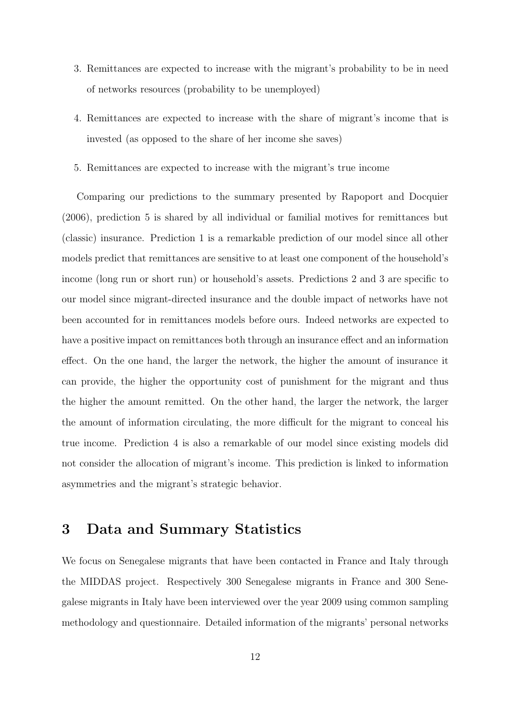- 3. Remittances are expected to increase with the migrant's probability to be in need of networks resources (probability to be unemployed)
- 4. Remittances are expected to increase with the share of migrant's income that is invested (as opposed to the share of her income she saves)
- 5. Remittances are expected to increase with the migrant's true income

Comparing our predictions to the summary presented by Rapoport and Docquier (2006), prediction 5 is shared by all individual or familial motives for remittances but (classic) insurance. Prediction 1 is a remarkable prediction of our model since all other models predict that remittances are sensitive to at least one component of the household's income (long run or short run) or household's assets. Predictions 2 and 3 are specific to our model since migrant-directed insurance and the double impact of networks have not been accounted for in remittances models before ours. Indeed networks are expected to have a positive impact on remittances both through an insurance effect and an information effect. On the one hand, the larger the network, the higher the amount of insurance it can provide, the higher the opportunity cost of punishment for the migrant and thus the higher the amount remitted. On the other hand, the larger the network, the larger the amount of information circulating, the more difficult for the migrant to conceal his true income. Prediction 4 is also a remarkable of our model since existing models did not consider the allocation of migrant's income. This prediction is linked to information asymmetries and the migrant's strategic behavior.

# 3 Data and Summary Statistics

We focus on Senegalese migrants that have been contacted in France and Italy through the MIDDAS project. Respectively 300 Senegalese migrants in France and 300 Senegalese migrants in Italy have been interviewed over the year 2009 using common sampling methodology and questionnaire. Detailed information of the migrants' personal networks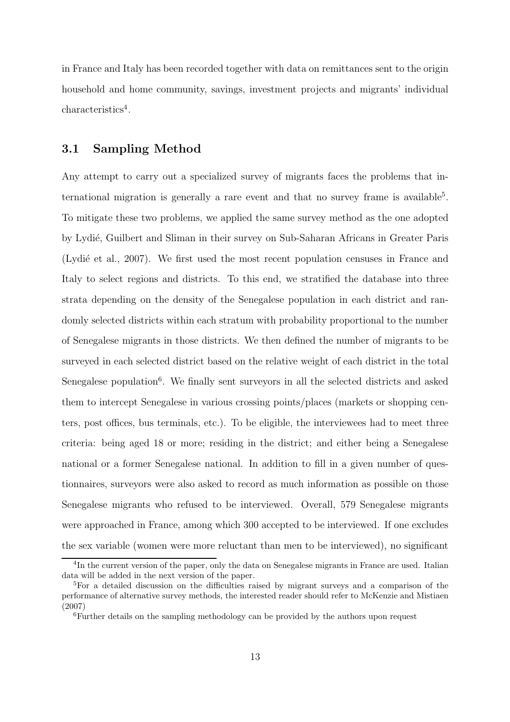in France and Italy has been recorded together with data on remittances sent to the origin household and home community, savings, investment projects and migrants' individual characteristics<sup>4</sup>.

#### 3.1 Sampling Method

Any attempt to carry out a specialized survey of migrants faces the problems that international migration is generally a rare event and that no survey frame is available<sup>5</sup>. To mitigate these two problems, we applied the same survey method as the one adopted by Lydi´e, Guilbert and Sliman in their survey on Sub-Saharan Africans in Greater Paris (Lydie et al., 2007). We first used the most recent population censuses in France and Italy to select regions and districts. To this end, we stratified the database into three strata depending on the density of the Senegalese population in each district and randomly selected districts within each stratum with probability proportional to the number of Senegalese migrants in those districts. We then defined the number of migrants to be surveyed in each selected district based on the relative weight of each district in the total Senegalese population<sup>6</sup>. We finally sent surveyors in all the selected districts and asked them to intercept Senegalese in various crossing points/places (markets or shopping centers, post offices, bus terminals, etc.). To be eligible, the interviewees had to meet three criteria: being aged 18 or more; residing in the district; and either being a Senegalese national or a former Senegalese national. In addition to fill in a given number of questionnaires, surveyors were also asked to record as much information as possible on those Senegalese migrants who refused to be interviewed. Overall, 579 Senegalese migrants were approached in France, among which 300 accepted to be interviewed. If one excludes the sex variable (women were more reluctant than men to be interviewed), no significant

<sup>&</sup>lt;sup>4</sup>In the current version of the paper, only the data on Senegalese migrants in France are used. Italian data will be added in the next version of the paper.

<sup>5</sup>For a detailed discussion on the difficulties raised by migrant surveys and a comparison of the performance of alternative survey methods, the interested reader should refer to McKenzie and Mistiaen (2007)

<sup>6</sup>Further details on the sampling methodology can be provided by the authors upon request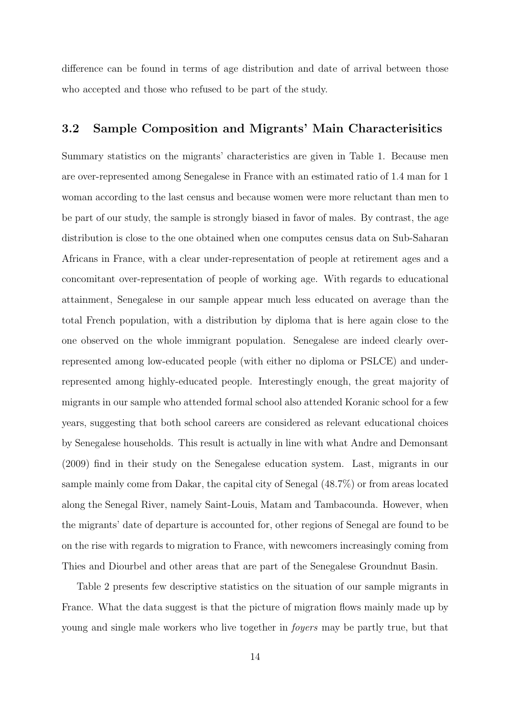difference can be found in terms of age distribution and date of arrival between those who accepted and those who refused to be part of the study.

#### 3.2 Sample Composition and Migrants' Main Characterisitics

Summary statistics on the migrants' characteristics are given in Table 1. Because men are over-represented among Senegalese in France with an estimated ratio of 1.4 man for 1 woman according to the last census and because women were more reluctant than men to be part of our study, the sample is strongly biased in favor of males. By contrast, the age distribution is close to the one obtained when one computes census data on Sub-Saharan Africans in France, with a clear under-representation of people at retirement ages and a concomitant over-representation of people of working age. With regards to educational attainment, Senegalese in our sample appear much less educated on average than the total French population, with a distribution by diploma that is here again close to the one observed on the whole immigrant population. Senegalese are indeed clearly overrepresented among low-educated people (with either no diploma or PSLCE) and underrepresented among highly-educated people. Interestingly enough, the great majority of migrants in our sample who attended formal school also attended Koranic school for a few years, suggesting that both school careers are considered as relevant educational choices by Senegalese households. This result is actually in line with what Andre and Demonsant (2009) find in their study on the Senegalese education system. Last, migrants in our sample mainly come from Dakar, the capital city of Senegal (48.7%) or from areas located along the Senegal River, namely Saint-Louis, Matam and Tambacounda. However, when the migrants' date of departure is accounted for, other regions of Senegal are found to be on the rise with regards to migration to France, with newcomers increasingly coming from Thies and Diourbel and other areas that are part of the Senegalese Groundnut Basin.

Table 2 presents few descriptive statistics on the situation of our sample migrants in France. What the data suggest is that the picture of migration flows mainly made up by young and single male workers who live together in foyers may be partly true, but that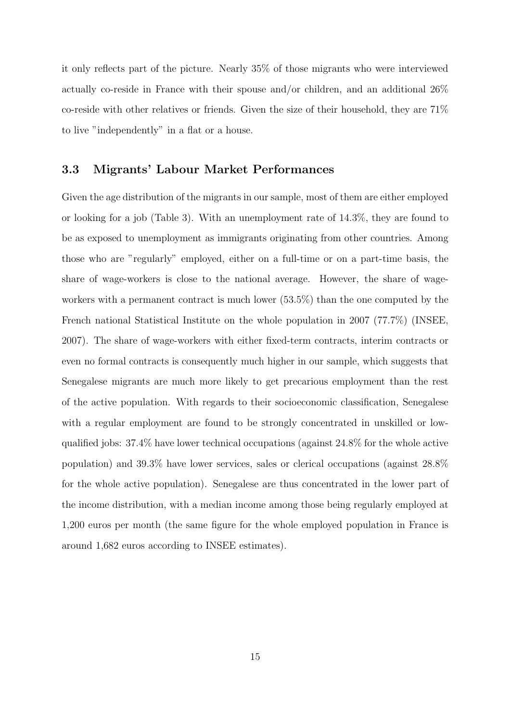it only reflects part of the picture. Nearly 35% of those migrants who were interviewed actually co-reside in France with their spouse and/or children, and an additional 26% co-reside with other relatives or friends. Given the size of their household, they are 71% to live "independently" in a flat or a house.

#### 3.3 Migrants' Labour Market Performances

Given the age distribution of the migrants in our sample, most of them are either employed or looking for a job (Table 3). With an unemployment rate of 14.3%, they are found to be as exposed to unemployment as immigrants originating from other countries. Among those who are "regularly" employed, either on a full-time or on a part-time basis, the share of wage-workers is close to the national average. However, the share of wageworkers with a permanent contract is much lower (53.5%) than the one computed by the French national Statistical Institute on the whole population in 2007 (77.7%) (INSEE, 2007). The share of wage-workers with either fixed-term contracts, interim contracts or even no formal contracts is consequently much higher in our sample, which suggests that Senegalese migrants are much more likely to get precarious employment than the rest of the active population. With regards to their socioeconomic classification, Senegalese with a regular employment are found to be strongly concentrated in unskilled or lowqualified jobs: 37.4% have lower technical occupations (against 24.8% for the whole active population) and 39.3% have lower services, sales or clerical occupations (against 28.8% for the whole active population). Senegalese are thus concentrated in the lower part of the income distribution, with a median income among those being regularly employed at 1,200 euros per month (the same figure for the whole employed population in France is around 1,682 euros according to INSEE estimates).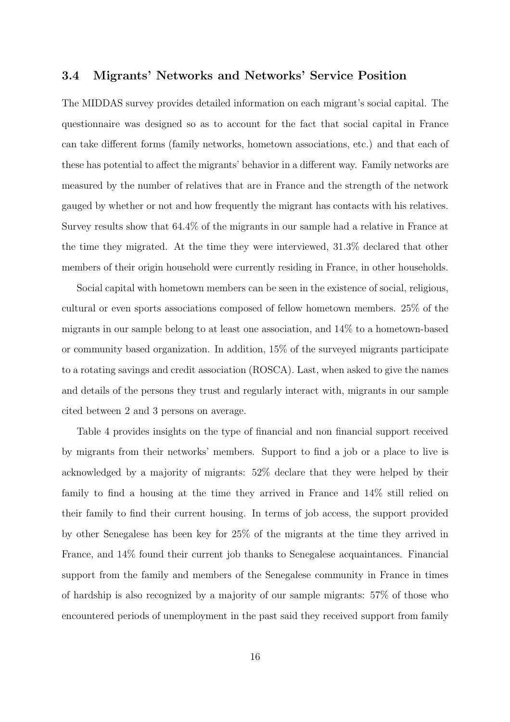#### 3.4 Migrants' Networks and Networks' Service Position

The MIDDAS survey provides detailed information on each migrant's social capital. The questionnaire was designed so as to account for the fact that social capital in France can take different forms (family networks, hometown associations, etc.) and that each of these has potential to affect the migrants' behavior in a different way. Family networks are measured by the number of relatives that are in France and the strength of the network gauged by whether or not and how frequently the migrant has contacts with his relatives. Survey results show that 64.4% of the migrants in our sample had a relative in France at the time they migrated. At the time they were interviewed, 31.3% declared that other members of their origin household were currently residing in France, in other households.

Social capital with hometown members can be seen in the existence of social, religious, cultural or even sports associations composed of fellow hometown members. 25% of the migrants in our sample belong to at least one association, and 14% to a hometown-based or community based organization. In addition, 15% of the surveyed migrants participate to a rotating savings and credit association (ROSCA). Last, when asked to give the names and details of the persons they trust and regularly interact with, migrants in our sample cited between 2 and 3 persons on average.

Table 4 provides insights on the type of financial and non financial support received by migrants from their networks' members. Support to find a job or a place to live is acknowledged by a majority of migrants: 52% declare that they were helped by their family to find a housing at the time they arrived in France and 14% still relied on their family to find their current housing. In terms of job access, the support provided by other Senegalese has been key for 25% of the migrants at the time they arrived in France, and 14% found their current job thanks to Senegalese acquaintances. Financial support from the family and members of the Senegalese community in France in times of hardship is also recognized by a majority of our sample migrants: 57% of those who encountered periods of unemployment in the past said they received support from family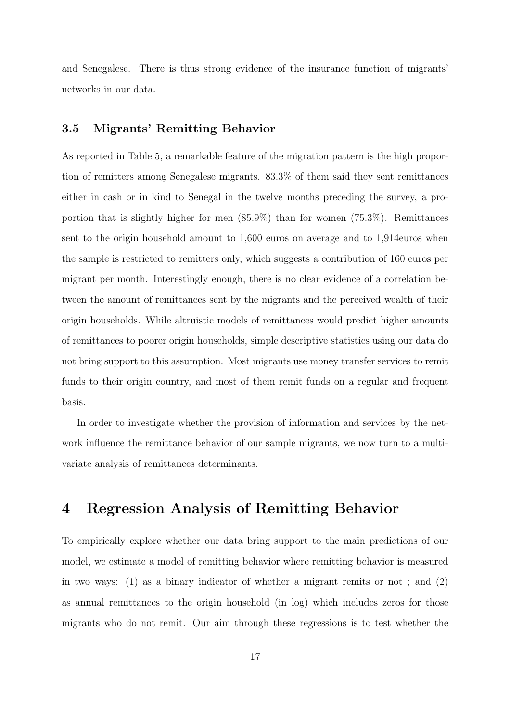and Senegalese. There is thus strong evidence of the insurance function of migrants' networks in our data.

#### 3.5 Migrants' Remitting Behavior

As reported in Table 5, a remarkable feature of the migration pattern is the high proportion of remitters among Senegalese migrants. 83.3% of them said they sent remittances either in cash or in kind to Senegal in the twelve months preceding the survey, a proportion that is slightly higher for men (85.9%) than for women (75.3%). Remittances sent to the origin household amount to 1,600 euros on average and to 1,914euros when the sample is restricted to remitters only, which suggests a contribution of 160 euros per migrant per month. Interestingly enough, there is no clear evidence of a correlation between the amount of remittances sent by the migrants and the perceived wealth of their origin households. While altruistic models of remittances would predict higher amounts of remittances to poorer origin households, simple descriptive statistics using our data do not bring support to this assumption. Most migrants use money transfer services to remit funds to their origin country, and most of them remit funds on a regular and frequent basis.

In order to investigate whether the provision of information and services by the network influence the remittance behavior of our sample migrants, we now turn to a multivariate analysis of remittances determinants.

# 4 Regression Analysis of Remitting Behavior

To empirically explore whether our data bring support to the main predictions of our model, we estimate a model of remitting behavior where remitting behavior is measured in two ways:  $(1)$  as a binary indicator of whether a migrant remits or not; and  $(2)$ as annual remittances to the origin household (in log) which includes zeros for those migrants who do not remit. Our aim through these regressions is to test whether the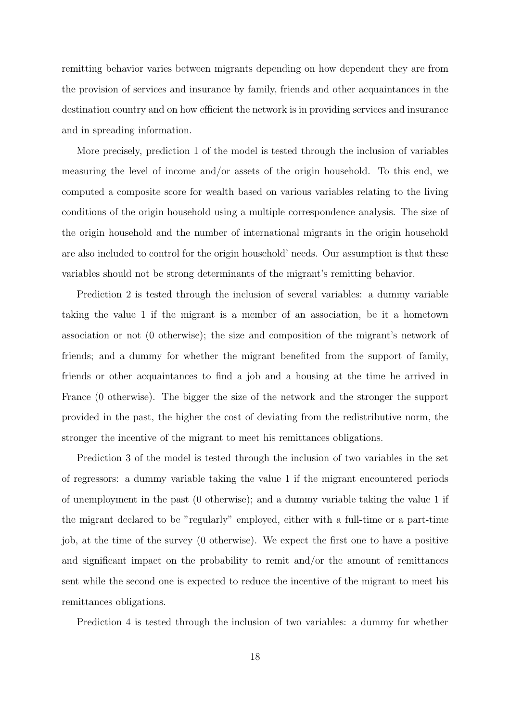remitting behavior varies between migrants depending on how dependent they are from the provision of services and insurance by family, friends and other acquaintances in the destination country and on how efficient the network is in providing services and insurance and in spreading information.

More precisely, prediction 1 of the model is tested through the inclusion of variables measuring the level of income and/or assets of the origin household. To this end, we computed a composite score for wealth based on various variables relating to the living conditions of the origin household using a multiple correspondence analysis. The size of the origin household and the number of international migrants in the origin household are also included to control for the origin household' needs. Our assumption is that these variables should not be strong determinants of the migrant's remitting behavior.

Prediction 2 is tested through the inclusion of several variables: a dummy variable taking the value 1 if the migrant is a member of an association, be it a hometown association or not (0 otherwise); the size and composition of the migrant's network of friends; and a dummy for whether the migrant benefited from the support of family, friends or other acquaintances to find a job and a housing at the time he arrived in France (0 otherwise). The bigger the size of the network and the stronger the support provided in the past, the higher the cost of deviating from the redistributive norm, the stronger the incentive of the migrant to meet his remittances obligations.

Prediction 3 of the model is tested through the inclusion of two variables in the set of regressors: a dummy variable taking the value 1 if the migrant encountered periods of unemployment in the past (0 otherwise); and a dummy variable taking the value 1 if the migrant declared to be "regularly" employed, either with a full-time or a part-time job, at the time of the survey (0 otherwise). We expect the first one to have a positive and significant impact on the probability to remit and/or the amount of remittances sent while the second one is expected to reduce the incentive of the migrant to meet his remittances obligations.

Prediction 4 is tested through the inclusion of two variables: a dummy for whether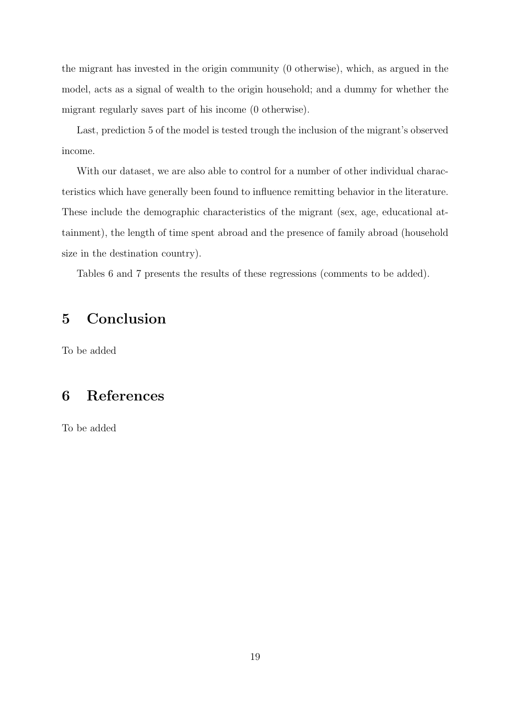the migrant has invested in the origin community (0 otherwise), which, as argued in the model, acts as a signal of wealth to the origin household; and a dummy for whether the migrant regularly saves part of his income (0 otherwise).

Last, prediction 5 of the model is tested trough the inclusion of the migrant's observed income.

With our dataset, we are also able to control for a number of other individual characteristics which have generally been found to influence remitting behavior in the literature. These include the demographic characteristics of the migrant (sex, age, educational attainment), the length of time spent abroad and the presence of family abroad (household size in the destination country).

Tables 6 and 7 presents the results of these regressions (comments to be added).

# 5 Conclusion

To be added

# 6 References

To be added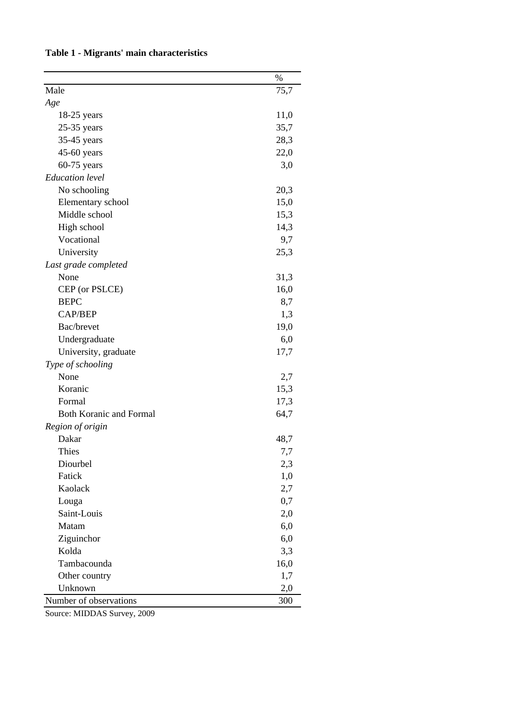|                                | $\%$ |
|--------------------------------|------|
| Male                           | 75,7 |
| Age                            |      |
| $18-25$ years                  | 11,0 |
| $25-35$ years                  | 35,7 |
| 35-45 years                    | 28,3 |
| 45-60 years                    | 22,0 |
| $60-75$ years                  | 3,0  |
| <b>Education</b> level         |      |
| No schooling                   | 20,3 |
| Elementary school              | 15,0 |
| Middle school                  | 15,3 |
| High school                    | 14,3 |
| Vocational                     | 9,7  |
| University                     | 25,3 |
| Last grade completed           |      |
| None                           | 31,3 |
| CEP (or PSLCE)                 | 16,0 |
| <b>BEPC</b>                    | 8,7  |
| CAP/BEP                        | 1,3  |
| Bac/brevet                     | 19,0 |
| Undergraduate                  | 6,0  |
| University, graduate           | 17,7 |
| Type of schooling              |      |
| None                           | 2,7  |
| Koranic                        | 15,3 |
| Formal                         | 17,3 |
| <b>Both Koranic and Formal</b> | 64,7 |
| Region of origin               |      |
| Dakar                          | 48,7 |
| Thies                          | 7,7  |
| Diourbel                       | 2,3  |
| Fatick                         | 1,0  |
| Kaolack                        | 2,7  |
| Louga                          | 0,7  |
| Saint-Louis                    | 2,0  |
| Matam                          | 6,0  |
| Ziguinchor                     | 6,0  |
| Kolda                          | 3,3  |
| Tambacounda                    | 16,0 |
| Other country                  | 1,7  |
| Unknown                        | 2,0  |
| Number of observations         | 300  |

## **Table 1 - Migrants' main characteristics**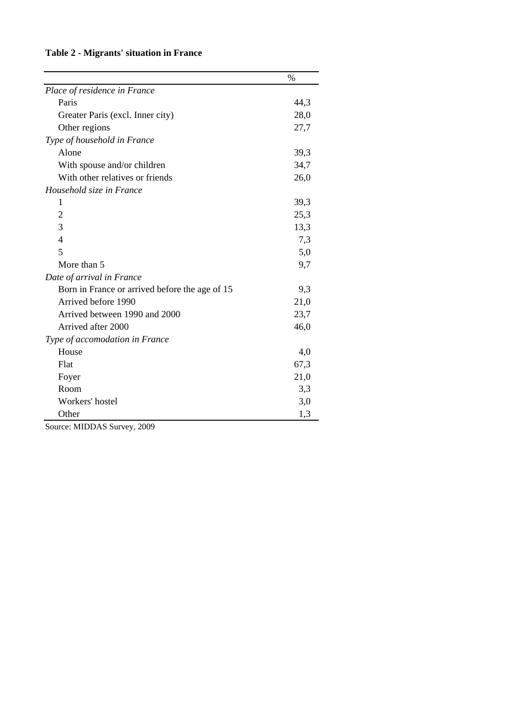## **Table 2 - Migrants' situation in France**

|                                                | $\%$ |
|------------------------------------------------|------|
| Place of residence in France                   |      |
| Paris                                          | 44,3 |
| Greater Paris (excl. Inner city)               | 28,0 |
| Other regions                                  | 27,7 |
| Type of household in France                    |      |
| Alone                                          | 39,3 |
| With spouse and/or children                    | 34,7 |
| With other relatives or friends                | 26,0 |
| Household size in France                       |      |
| 1                                              | 39,3 |
| $\overline{c}$                                 | 25,3 |
| 3                                              | 13,3 |
| $\overline{4}$                                 | 7,3  |
| 5                                              | 5,0  |
| More than 5                                    | 9,7  |
| Date of arrival in France                      |      |
| Born in France or arrived before the age of 15 | 9,3  |
| Arrived before 1990                            | 21,0 |
| Arrived between 1990 and 2000                  | 23,7 |
| Arrived after 2000                             | 46,0 |
| Type of accomodation in France                 |      |
| House                                          | 4,0  |
| Flat                                           | 67,3 |
| Foyer                                          | 21,0 |
| Room                                           | 3,3  |
| Workers' hostel                                | 3,0  |
| Other                                          | 1,3  |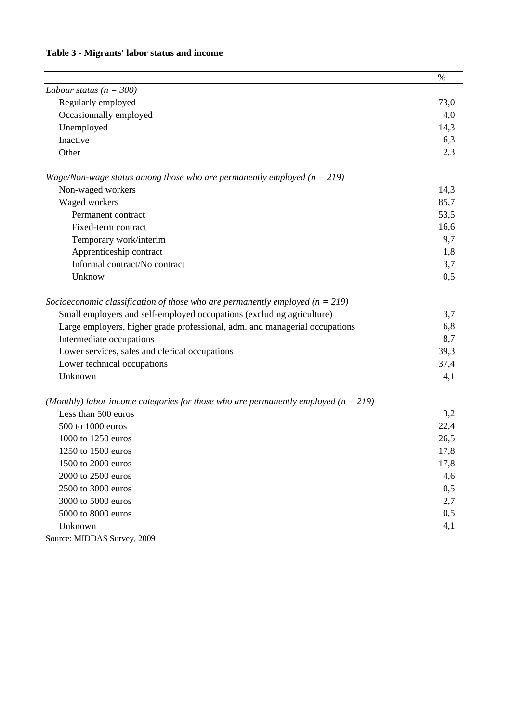## **Table 3 - Migrants' labor status and income**

|                                                                                        | $\%$ |
|----------------------------------------------------------------------------------------|------|
| Labour status ( $n = 300$ )                                                            |      |
| Regularly employed                                                                     | 73,0 |
| Occasionnally employed                                                                 | 4,0  |
| Unemployed                                                                             | 14,3 |
| Inactive                                                                               | 6,3  |
| Other                                                                                  | 2,3  |
| Wage/Non-wage status among those who are permanently employed ( $n = 219$ )            |      |
| Non-waged workers                                                                      | 14,3 |
| Waged workers                                                                          | 85,7 |
| Permanent contract                                                                     | 53,5 |
| Fixed-term contract                                                                    | 16,6 |
| Temporary work/interim                                                                 | 9,7  |
| Apprenticeship contract                                                                | 1,8  |
| Informal contract/No contract                                                          | 3,7  |
| Unknow                                                                                 | 0,5  |
| Socioeconomic classification of those who are permanently employed ( $n = 219$ )       |      |
| Small employers and self-employed occupations (excluding agriculture)                  | 3,7  |
| Large employers, higher grade professional, adm. and managerial occupations            | 6,8  |
| Intermediate occupations                                                               | 8,7  |
| Lower services, sales and clerical occupations                                         | 39,3 |
| Lower technical occupations                                                            | 37,4 |
| Unknown                                                                                | 4,1  |
| (Monthly) labor income categories for those who are permanently employed ( $n = 219$ ) |      |
| Less than 500 euros                                                                    | 3,2  |
| 500 to 1000 euros                                                                      | 22,4 |
| 1000 to 1250 euros                                                                     | 26,5 |
| 1250 to 1500 euros                                                                     | 17,8 |
| 1500 to 2000 euros                                                                     | 17,8 |
| 2000 to 2500 euros                                                                     | 4,6  |
| 2500 to 3000 euros                                                                     | 0,5  |
| 3000 to 5000 euros                                                                     | 2,7  |
| 5000 to 8000 euros                                                                     | 0,5  |
| Unknown                                                                                | 4,1  |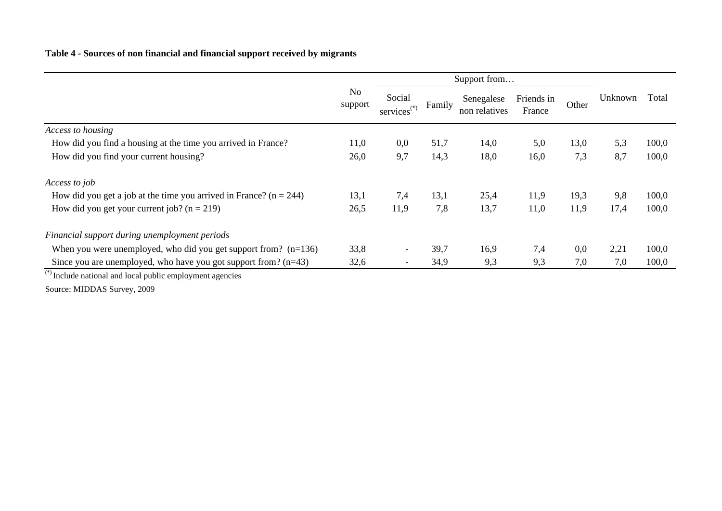#### **Table 4 - Sources of non financial and financial support received by migrants**

|                                                                                                                                                                                                                                                                                                         | Support from              |                                   |        |                             |                      |       |         |       |
|---------------------------------------------------------------------------------------------------------------------------------------------------------------------------------------------------------------------------------------------------------------------------------------------------------|---------------------------|-----------------------------------|--------|-----------------------------|----------------------|-------|---------|-------|
|                                                                                                                                                                                                                                                                                                         | N <sub>0</sub><br>support | Social<br>services <sup>(*)</sup> | Family | Senegalese<br>non relatives | Friends in<br>France | Other | Unknown | Total |
| Access to housing                                                                                                                                                                                                                                                                                       |                           |                                   |        |                             |                      |       |         |       |
| How did you find a housing at the time you arrived in France?                                                                                                                                                                                                                                           | 11,0                      | 0,0                               | 51,7   | 14,0                        | 5,0                  | 13,0  | 5,3     | 100,0 |
| How did you find your current housing?                                                                                                                                                                                                                                                                  | 26,0                      | 9,7                               | 14,3   | 18,0                        | 16,0                 | 7,3   | 8,7     | 100,0 |
| Access to job                                                                                                                                                                                                                                                                                           |                           |                                   |        |                             |                      |       |         |       |
| How did you get a job at the time you arrived in France? ( $n = 244$ )                                                                                                                                                                                                                                  | 13,1                      | 7,4                               | 13,1   | 25,4                        | 11,9                 | 19,3  | 9,8     | 100,0 |
| How did you get your current job? $(n = 219)$                                                                                                                                                                                                                                                           | 26,5                      | 11,9                              | 7,8    | 13,7                        | 11,0                 | 11,9  | 17,4    | 100,0 |
| Financial support during unemployment periods                                                                                                                                                                                                                                                           |                           |                                   |        |                             |                      |       |         |       |
| When you were unemployed, who did you get support from? $(n=136)$                                                                                                                                                                                                                                       | 33,8                      | $\overline{\phantom{a}}$          | 39,7   | 16,9                        | 7,4                  | 0,0   | 2,21    | 100,0 |
| Since you are unemployed, who have you got support from? $(n=43)$<br>$\binom{(*)}{*}$ and the set of the set of the set of the set of the set of the set of the set of the set of the set of the set of the set of the set of the set of the set of the set of the set of the set of the set of the set | 32,6                      | $\overline{\phantom{a}}$          | 34,9   | 9,3                         | 9,3                  | 7,0   | 7,0     | 100,0 |

\*) Include national and local public employment agencies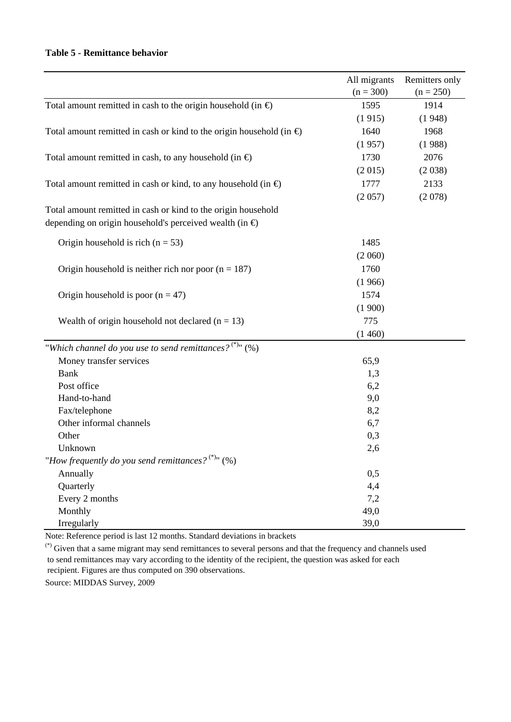#### **Table 5 - Remittance behavior**

|                                                                              | All migrants | Remitters only |
|------------------------------------------------------------------------------|--------------|----------------|
|                                                                              | $(n = 300)$  | $(n = 250)$    |
| Total amount remitted in cash to the origin household (in $\Theta$ )         | 1595         | 1914           |
|                                                                              | (1915)       | (1948)         |
| Total amount remitted in cash or kind to the origin household (in $\Theta$ ) | 1640         | 1968           |
|                                                                              | (1957)       | (1988)         |
| Total amount remitted in cash, to any household (in $\Theta$ )               | 1730         | 2076           |
|                                                                              | (2015)       | (2038)         |
| Total amount remitted in cash or kind, to any household (in $\Theta$ )       | 1777         | 2133           |
|                                                                              | (2057)       | (2078)         |
| Total amount remitted in cash or kind to the origin household                |              |                |
| depending on origin household's perceived wealth (in $\oplus$ )              |              |                |
| Origin household is rich ( $n = 53$ )                                        | 1485         |                |
|                                                                              | (2060)       |                |
| Origin household is neither rich nor poor $(n = 187)$                        | 1760         |                |
|                                                                              | (1966)       |                |
| Origin household is poor $(n = 47)$                                          | 1574         |                |
|                                                                              | (1900)       |                |
| Wealth of origin household not declared $(n = 13)$                           | 775          |                |
|                                                                              | (1460)       |                |
| "Which channel do you use to send remittances? $(2^*)$ " (%)                 |              |                |
| Money transfer services                                                      | 65,9         |                |
| <b>Bank</b>                                                                  | 1,3          |                |
| Post office                                                                  | 6,2          |                |
| Hand-to-hand                                                                 | 9,0          |                |
| Fax/telephone                                                                | 8,2          |                |
| Other informal channels                                                      | 6,7          |                |
| Other                                                                        | 0,3          |                |
| Unknown                                                                      | 2,6          |                |
| "How frequently do you send remittances? $(*)^n$ (%)                         |              |                |
| Annually                                                                     | 0,5          |                |
| Quarterly                                                                    | 4,4          |                |
| Every 2 months                                                               | 7,2          |                |
| Monthly                                                                      | 49,0         |                |
| Irregularly                                                                  | 39,0         |                |

Note: Reference period is last 12 months. Standard deviations in brackets

(\*) Given that a same migrant may send remittances to several persons and that the frequency and channels used to send remittances may vary according to the identity of the recipient, the question was asked for each recipient. Figures are thus computed on 390 observations.